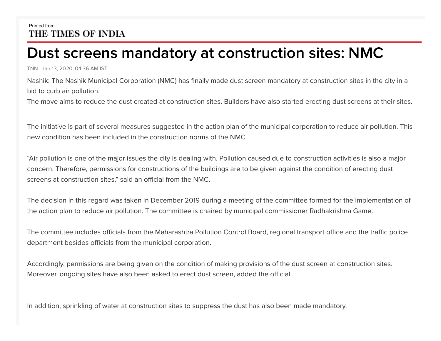## Printed from THE TIMES OF INDIA

## **Dust screens mandatory at construction sites: NMC**

TNN | Jan 13, 2020, 04.36 AM IST

Nashik: The Nashik Municipal Corporation (NMC) has finally made dust screen mandatory at construction sites in the city in a bid to curb air pollution.

The move aims to reduce the dust created at construction sites. Builders have also started erecting dust screens at their sites.

The initiative is part of several measures suggested in the action plan of the municipal corporation to reduce air pollution. This new condition has been included in the construction norms of the NMC.

"Air pollution is one of the major issues the city is dealing with. Pollution caused due to construction activities is also a major concern. Therefore, permissions for constructions of the buildings are to be given against the condition of erecting dust screens at construction sites," said an official from the NMC.

The decision in this regard was taken in December 2019 during a meeting of the committee formed for the implementation of the action plan to reduce air pollution. The committee is chaired by municipal commissioner Radhakrishna Game.

The committee includes officials from the Maharashtra Pollution Control Board, regional transport office and the traffic police department besides officials from the municipal corporation.

Accordingly, permissions are being given on the condition of making provisions of the dust screen at construction sites. Moreover, ongoing sites have also been asked to erect dust screen, added the official.

In addition, sprinkling of water at construction sites to suppress the dust has also been made mandatory.